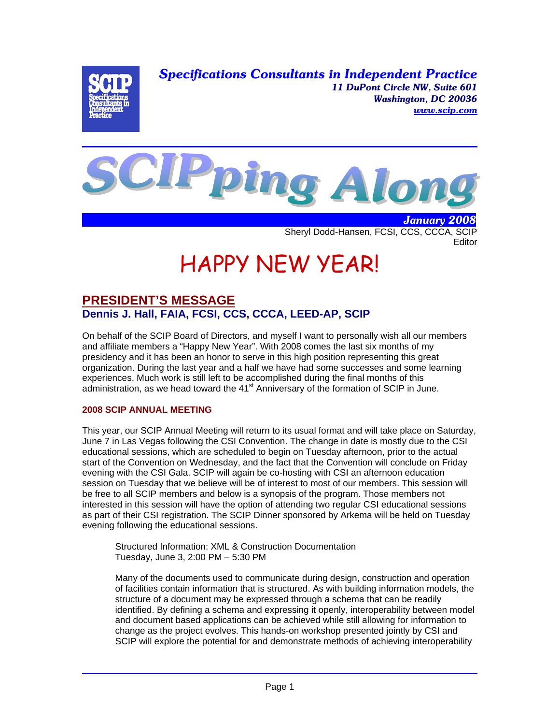*Specifications Consultants in Independent Practice 11 DuPont Circle NW, Suite 601 Washington, DC 20036 www.scip.com*





 *January 2008* Sheryl Dodd-Hansen, FCSI, CCS, CCCA, SCIP **Editor** 

# HAPPY NEW YEAR!

# **PRESIDENT'S MESSAGE Dennis J. Hall, FAIA, FCSI, CCS, CCCA, LEED-AP, SCIP**

On behalf of the SCIP Board of Directors, and myself I want to personally wish all our members and affiliate members a "Happy New Year". With 2008 comes the last six months of my presidency and it has been an honor to serve in this high position representing this great organization. During the last year and a half we have had some successes and some learning experiences. Much work is still left to be accomplished during the final months of this administration, as we head toward the  $41<sup>st</sup>$  Anniversary of the formation of SCIP in June.

## **2008 SCIP ANNUAL MEETING**

This year, our SCIP Annual Meeting will return to its usual format and will take place on Saturday, June 7 in Las Vegas following the CSI Convention. The change in date is mostly due to the CSI educational sessions, which are scheduled to begin on Tuesday afternoon, prior to the actual start of the Convention on Wednesday, and the fact that the Convention will conclude on Friday evening with the CSI Gala. SCIP will again be co-hosting with CSI an afternoon education session on Tuesday that we believe will be of interest to most of our members. This session will be free to all SCIP members and below is a synopsis of the program. Those members not interested in this session will have the option of attending two regular CSI educational sessions as part of their CSI registration. The SCIP Dinner sponsored by Arkema will be held on Tuesday evening following the educational sessions.

Structured Information: XML & Construction Documentation Tuesday, June 3, 2:00 PM – 5:30 PM

Many of the documents used to communicate during design, construction and operation of facilities contain information that is structured. As with building information models, the structure of a document may be expressed through a schema that can be readily identified. By defining a schema and expressing it openly, interoperability between model and document based applications can be achieved while still allowing for information to change as the project evolves. This hands-on workshop presented jointly by CSI and SCIP will explore the potential for and demonstrate methods of achieving interoperability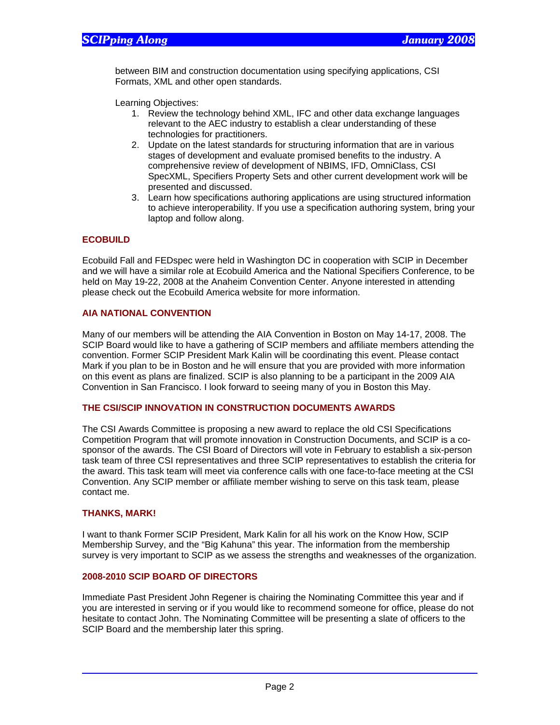between BIM and construction documentation using specifying applications, CSI Formats, XML and other open standards.

Learning Objectives:

- 1. Review the technology behind XML, IFC and other data exchange languages relevant to the AEC industry to establish a clear understanding of these technologies for practitioners.
- 2. Update on the latest standards for structuring information that are in various stages of development and evaluate promised benefits to the industry. A comprehensive review of development of NBIMS, IFD, OmniClass, CSI SpecXML, Specifiers Property Sets and other current development work will be presented and discussed.
- 3. Learn how specifications authoring applications are using structured information to achieve interoperability. If you use a specification authoring system, bring your laptop and follow along.

#### **ECOBUILD**

Ecobuild Fall and FEDspec were held in Washington DC in cooperation with SCIP in December and we will have a similar role at Ecobuild America and the National Specifiers Conference, to be held on May 19-22, 2008 at the Anaheim Convention Center. Anyone interested in attending please check out the Ecobuild America website for more information.

#### **AIA NATIONAL CONVENTION**

Many of our members will be attending the AIA Convention in Boston on May 14-17, 2008. The SCIP Board would like to have a gathering of SCIP members and affiliate members attending the convention. Former SCIP President Mark Kalin will be coordinating this event. Please contact Mark if you plan to be in Boston and he will ensure that you are provided with more information on this event as plans are finalized. SCIP is also planning to be a participant in the 2009 AIA Convention in San Francisco. I look forward to seeing many of you in Boston this May.

#### **THE CSI/SCIP INNOVATION IN CONSTRUCTION DOCUMENTS AWARDS**

The CSI Awards Committee is proposing a new award to replace the old CSI Specifications Competition Program that will promote innovation in Construction Documents, and SCIP is a cosponsor of the awards. The CSI Board of Directors will vote in February to establish a six-person task team of three CSI representatives and three SCIP representatives to establish the criteria for the award. This task team will meet via conference calls with one face-to-face meeting at the CSI Convention. Any SCIP member or affiliate member wishing to serve on this task team, please contact me.

#### **THANKS, MARK!**

I want to thank Former SCIP President, Mark Kalin for all his work on the Know How, SCIP Membership Survey, and the "Big Kahuna" this year. The information from the membership survey is very important to SCIP as we assess the strengths and weaknesses of the organization.

#### **2008-2010 SCIP BOARD OF DIRECTORS**

Immediate Past President John Regener is chairing the Nominating Committee this year and if you are interested in serving or if you would like to recommend someone for office, please do not hesitate to contact John. The Nominating Committee will be presenting a slate of officers to the SCIP Board and the membership later this spring.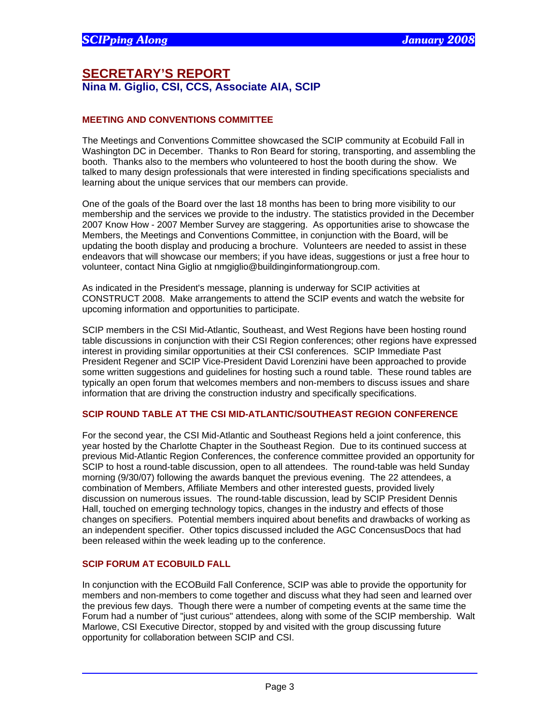## **SECRETARY'S REPORT Nina M. Giglio, CSI, CCS, Associate AIA, SCIP**

#### **MEETING AND CONVENTIONS COMMITTEE**

The Meetings and Conventions Committee showcased the SCIP community at Ecobuild Fall in Washington DC in December. Thanks to Ron Beard for storing, transporting, and assembling the booth. Thanks also to the members who volunteered to host the booth during the show. We talked to many design professionals that were interested in finding specifications specialists and learning about the unique services that our members can provide.

One of the goals of the Board over the last 18 months has been to bring more visibility to our membership and the services we provide to the industry. The statistics provided in the December 2007 Know How - 2007 Member Survey are staggering. As opportunities arise to showcase the Members, the Meetings and Conventions Committee, in conjunction with the Board, will be updating the booth display and producing a brochure. Volunteers are needed to assist in these endeavors that will showcase our members; if you have ideas, suggestions or just a free hour to volunteer, contact Nina Giglio at nmgiglio@buildinginformationgroup.com.

As indicated in the President's message, planning is underway for SCIP activities at CONSTRUCT 2008. Make arrangements to attend the SCIP events and watch the website for upcoming information and opportunities to participate.

SCIP members in the CSI Mid-Atlantic, Southeast, and West Regions have been hosting round table discussions in conjunction with their CSI Region conferences; other regions have expressed interest in providing similar opportunities at their CSI conferences. SCIP Immediate Past President Regener and SCIP Vice-President David Lorenzini have been approached to provide some written suggestions and guidelines for hosting such a round table. These round tables are typically an open forum that welcomes members and non-members to discuss issues and share information that are driving the construction industry and specifically specifications.

#### **SCIP ROUND TABLE AT THE CSI MID-ATLANTIC/SOUTHEAST REGION CONFERENCE**

For the second year, the CSI Mid-Atlantic and Southeast Regions held a joint conference, this year hosted by the Charlotte Chapter in the Southeast Region. Due to its continued success at previous Mid-Atlantic Region Conferences, the conference committee provided an opportunity for SCIP to host a round-table discussion, open to all attendees. The round-table was held Sunday morning (9/30/07) following the awards banquet the previous evening. The 22 attendees, a combination of Members, Affiliate Members and other interested guests, provided lively discussion on numerous issues. The round-table discussion, lead by SCIP President Dennis Hall, touched on emerging technology topics, changes in the industry and effects of those changes on specifiers. Potential members inquired about benefits and drawbacks of working as an independent specifier. Other topics discussed included the AGC ConcensusDocs that had been released within the week leading up to the conference.

### **SCIP FORUM AT ECOBUILD FALL**

In conjunction with the ECOBuild Fall Conference, SCIP was able to provide the opportunity for members and non-members to come together and discuss what they had seen and learned over the previous few days. Though there were a number of competing events at the same time the Forum had a number of "just curious" attendees, along with some of the SCIP membership. Walt Marlowe, CSI Executive Director, stopped by and visited with the group discussing future opportunity for collaboration between SCIP and CSI.